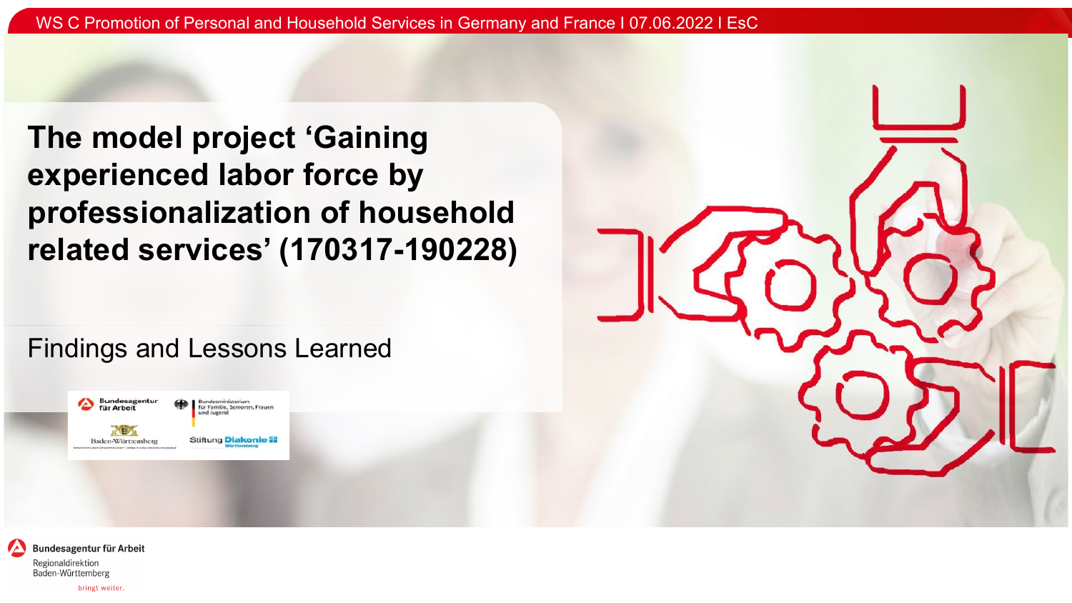**The model project 'Gaining experienced labor force by professionalization of household related services' (170317-190228)**

Findings and Lessons Learned





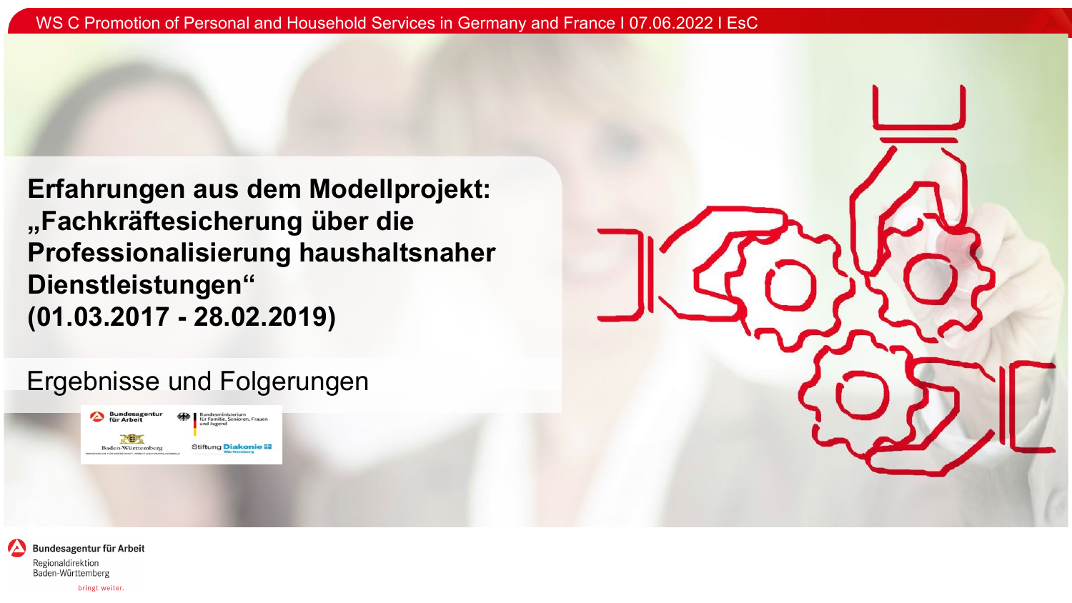**Erfahrungen aus dem Modellprojekt: "Fachkräftesicherung über die Professionalisierung haushaltsnaher Dienstleistungen" (01.03.2017 - 28.02.2019)**

Ergebnisse und Folgerungen





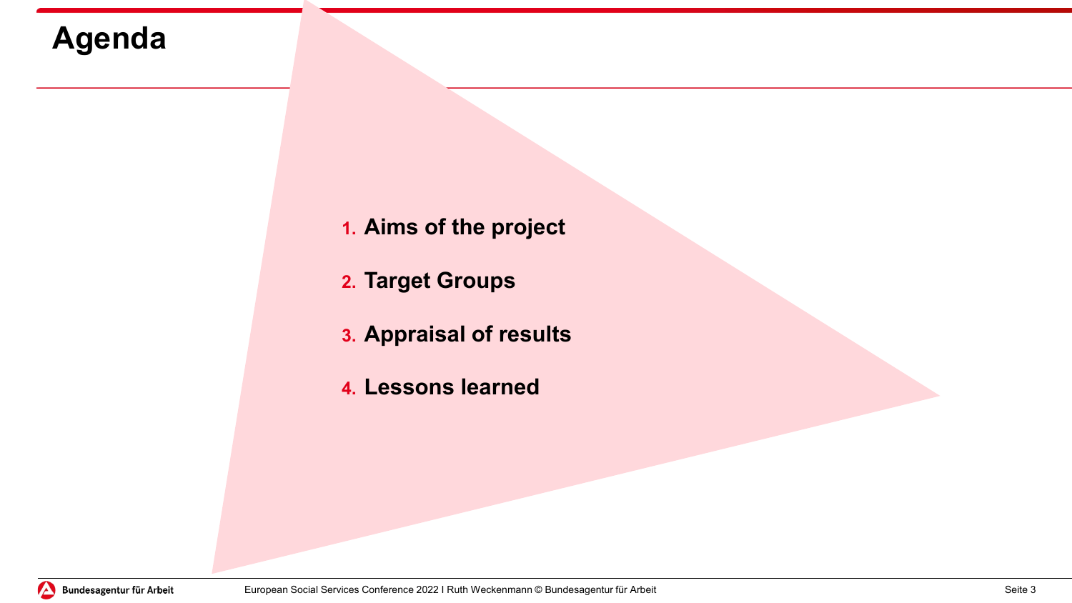# **Agenda**

- **1. Aims of the project**
- **2. Target Groups**
- **3. Appraisal of results**
- **4. Lessons learned**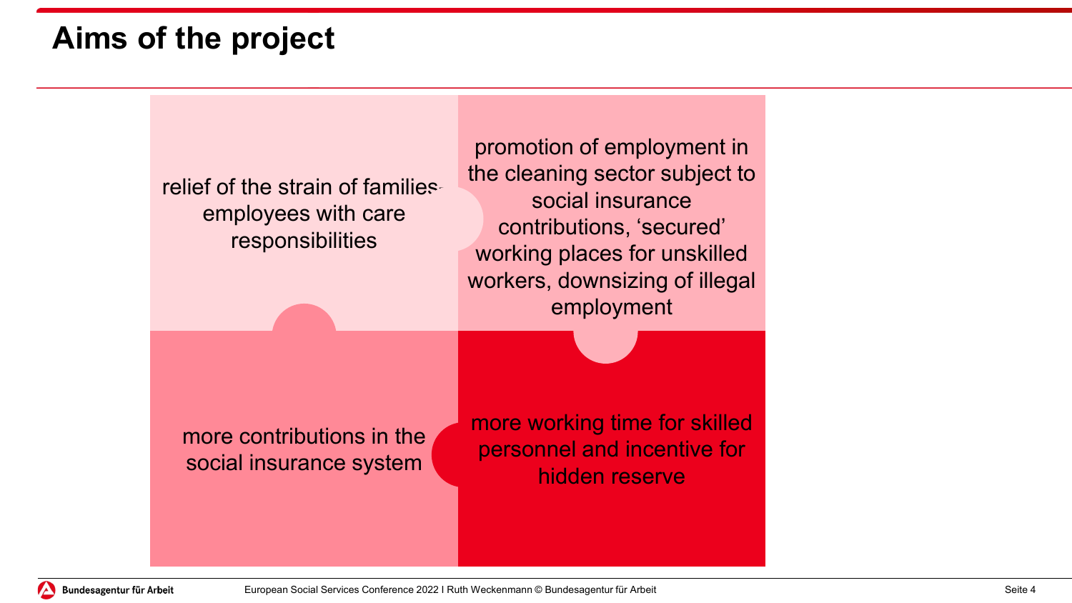## **Aims of the project**



Bundesagentur für Arbeit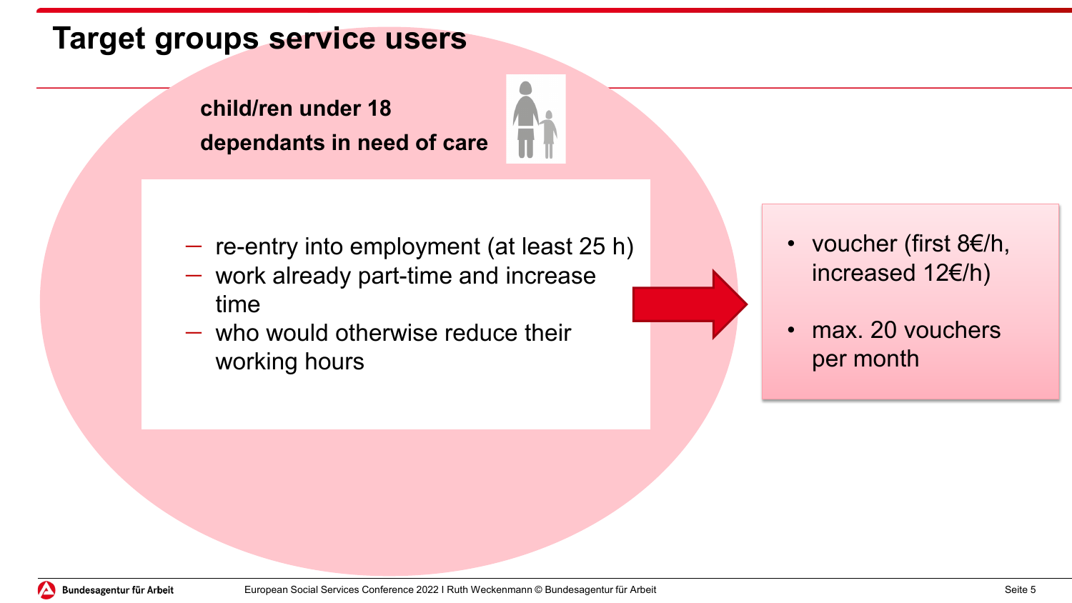## **Target groups service users**

**child/ren under 18 dependants in need of care** 



- − work already part-time and increase time
- − who would otherwise reduce their working hours

• voucher (first 8€/h, increased 12€/h)

max. 20 vouchers per month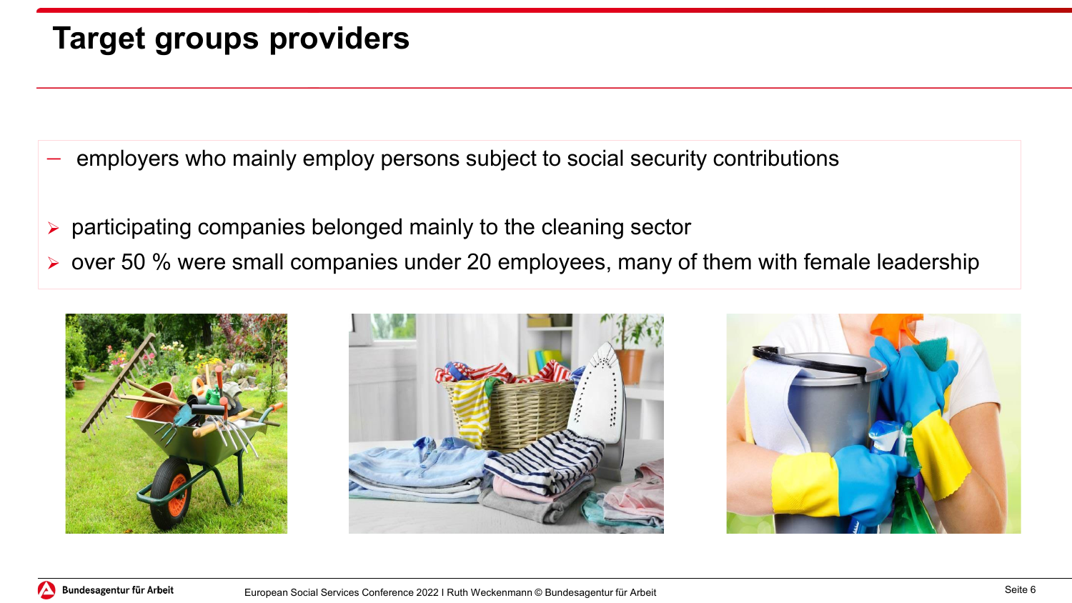# **Target groups providers**

- employers who mainly employ persons subject to social security contributions
- $\triangleright$  participating companies belonged mainly to the cleaning sector
- $\triangleright$  over 50 % were small companies under 20 employees, many of them with female leadership





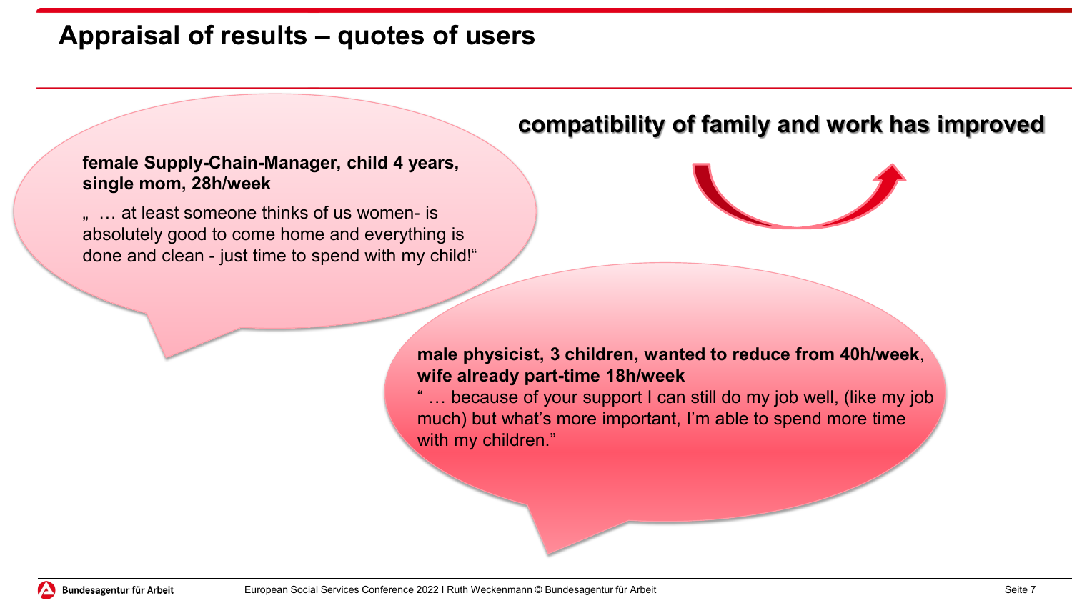### **Appraisal of results – quotes of users**

#### **female Supply-Chain-Manager, child 4 years, single mom, 28h/week**

... at least someone thinks of us women- is absolutely good to come home and everything is done and clean - just time to spend with my child!"

### **compatibility of family and work has improved**



**male physicist, 3 children, wanted to reduce from 40h/week**, **wife already part-time 18h/week**

" … because of your support I can still do my job well, (like my job much) but what's more important, I'm able to spend more time with my children."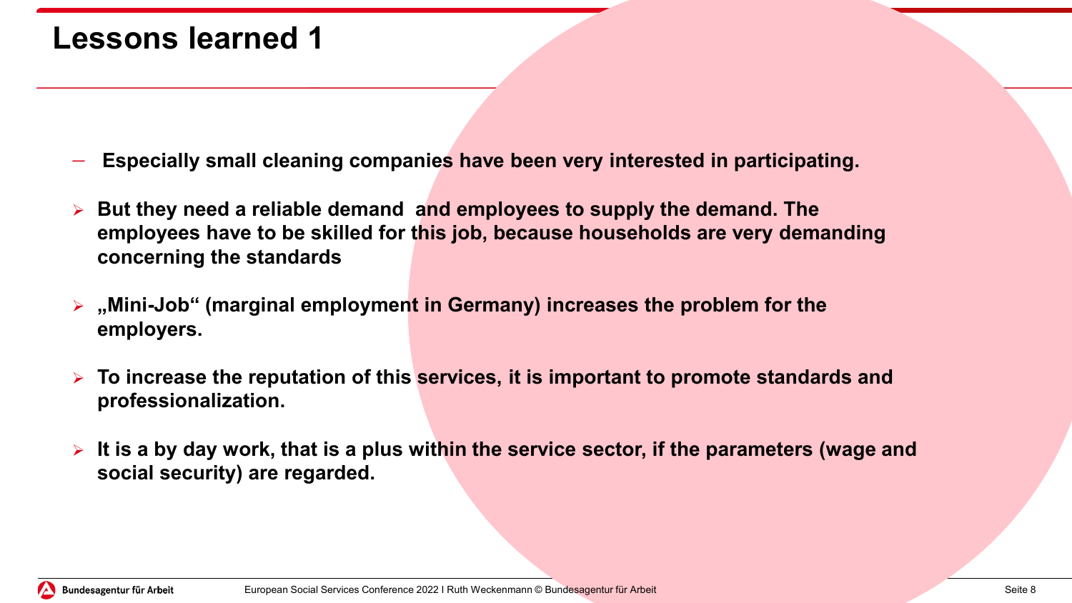### **Lessons learned 1**

- − **Especially small cleaning companies have been very interested in participating.**
- **But they need a reliable demand and employees to supply the demand. The employees have to be skilled for this job, because households are very demanding concerning the standards**
- **"Mini-Job" (marginal employment in Germany) increases the problem for the employers.**
- **To increase the reputation of this services, it is important to promote standards and professionalization.**
- **It is a by day work, that is a plus within the service sector, if the parameters (wage and social security) are regarded.**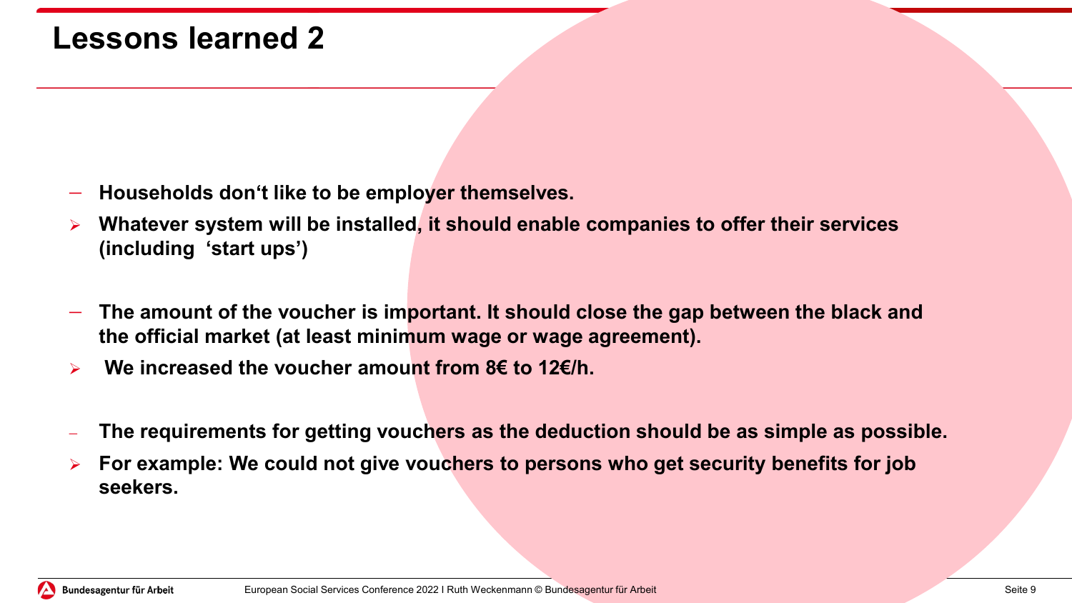### **Lessons learned 2**

- − **Households don't like to be employer themselves.**
- **Whatever system will be installed, it should enable companies to offer their services (including 'start ups')**
- − **The amount of the voucher is important. It should close the gap between the black and the official market (at least minimum wage or wage agreement).**
- **We increased the voucher amount from 8€ to 12€/h.**
- − **The requirements for getting vouchers as the deduction should be as simple as possible.**
- **For example: We could not give vouchers to persons who get security benefits for job seekers.**